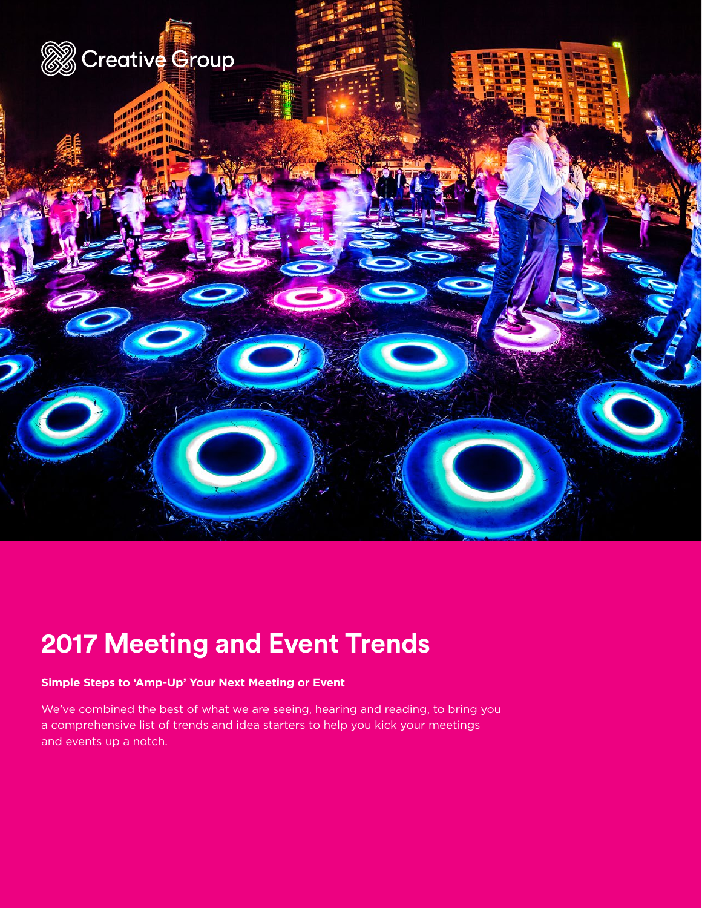

## **2017 Meeting and Event Trends**

## **Simple Steps to 'Amp-Up' Your Next Meeting or Event**

We've combined the best of what we are seeing, hearing and reading, to bring you a comprehensive list of trends and idea starters to help you kick your meetings and events up a notch.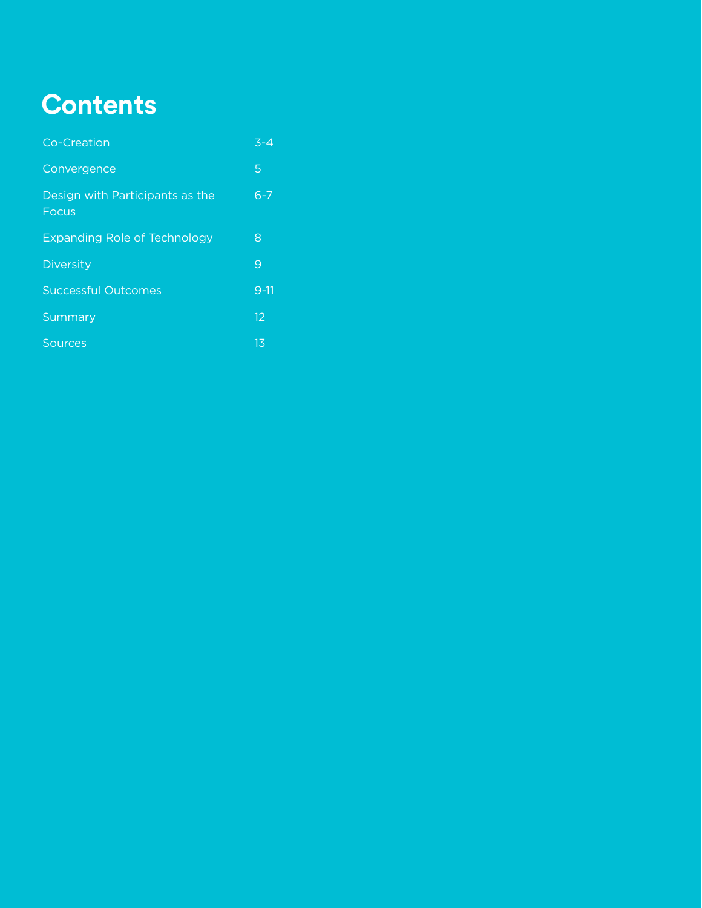# **Contents**

| Co-Creation                                     | $3 - 4$ |
|-------------------------------------------------|---------|
| Convergence                                     | 5       |
| Design with Participants as the<br><b>Focus</b> | $6 - 7$ |
| <b>Expanding Role of Technology</b>             | 8       |
| <b>Diversity</b>                                | 9       |
| <b>Successful Outcomes</b>                      | $9-11$  |
| Summary                                         | 12      |
| Sources                                         | 13      |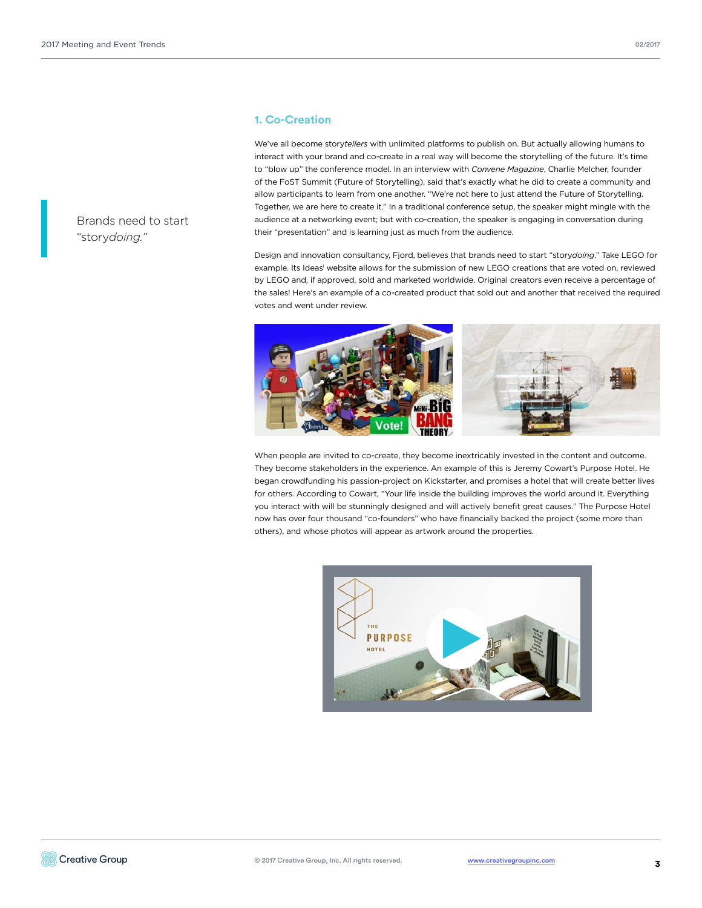Brands need to start "story*doing."*

## **1. Co-Creation**

We've all become story*tellers* with unlimited platforms to publish on. But actually allowing humans to interact with your brand and co-create in a real way will become the storytelling of the future. It's time to "blow up" the conference model. In an interview with *Convene Magazine*, Charlie Melcher, founder of the FoST Summit (Future of Storytelling), said that's exactly what he did to create a community and allow participants to learn from one another. "We're not here to just attend the Future of Storytelling. Together, we are here to create it." In a traditional conference setup, the speaker might mingle with the audience at a networking event; but with co-creation, the speaker is engaging in conversation during their "presentation" and is learning just as much from the audience.

Design and innovation consultancy, Fjord, believes that brands need to start "story*doing*." Take LEGO for example. Its Ideas<sup>i</sup> website allows for the submission of new LEGO creations that are voted on, reviewed by LEGO and, if approved, sold and marketed worldwide. Original creators even receive a percentage of the sales! Here's an example of a co-created product that sold out and another that received the required votes and went under review.



When people are invited to co-create, they become inextricably invested in the content and outcome. They become stakeholders in the experience. An example of this is Jeremy Cowart's Purpose Hotel. He began crowdfunding his passion-project on Kickstarter, and promises a hotel that will create better lives for others. According to Cowart, "Your life inside the building improves the world around it. Everything you interact with will be stunningly designed and will actively benefit great causes." The Purpose Hotel now has over four thousand "co-founders" who have financially backed the project (some more than others), and whose photos will appear as artwork around the properties.

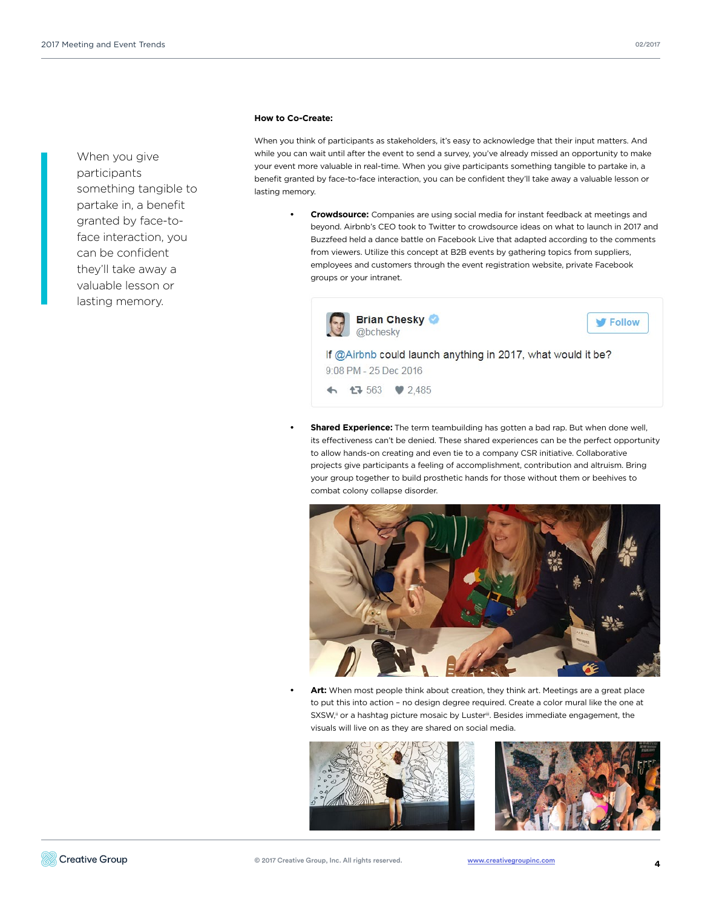When you give participants something tangible to partake in, a benefit granted by face-toface interaction, you can be confident they'll take away a valuable lesson or lasting memory.

#### **How to Co-Create:**

When you think of participants as stakeholders, it's easy to acknowledge that their input matters. And while you can wait until after the event to send a survey, you've already missed an opportunity to make your event more valuable in real-time. When you give participants something tangible to partake in, a benefit granted by face-to-face interaction, you can be confident they'll take away a valuable lesson or lasting memory.

**• Crowdsource:** Companies are using social media for instant feedback at meetings and beyond. Airbnb's CEO took to Twitter to crowdsource ideas on what to launch in 2017 and Buzzfeed held a dance battle on Facebook Live that adapted according to the comments from viewers. Utilize this concept at B2B events by gathering topics from suppliers, employees and customers through the event registration website, private Facebook groups or your intranet.



9:08 PM - 25 Dec 2016

 $\bullet$  563 ♥ 2,485

**• Shared Experience:** The term teambuilding has gotten a bad rap. But when done well, its effectiveness can't be denied. These shared experiences can be the perfect opportunity to allow hands-on creating and even tie to a company CSR initiative. Collaborative projects give participants a feeling of accomplishment, contribution and altruism. Bring your group together to build prosthetic hands for those without them or beehives to combat colony collapse disorder.



Art: When most people think about creation, they think art. Meetings are a great place to put this into action – no design degree required. Create a color mural like the one at SXSW,<sup>ii</sup> or a hashtag picture mosaic by Luster<sup>iii</sup>. Besides immediate engagement, the visuals will live on as they are shared on social media.



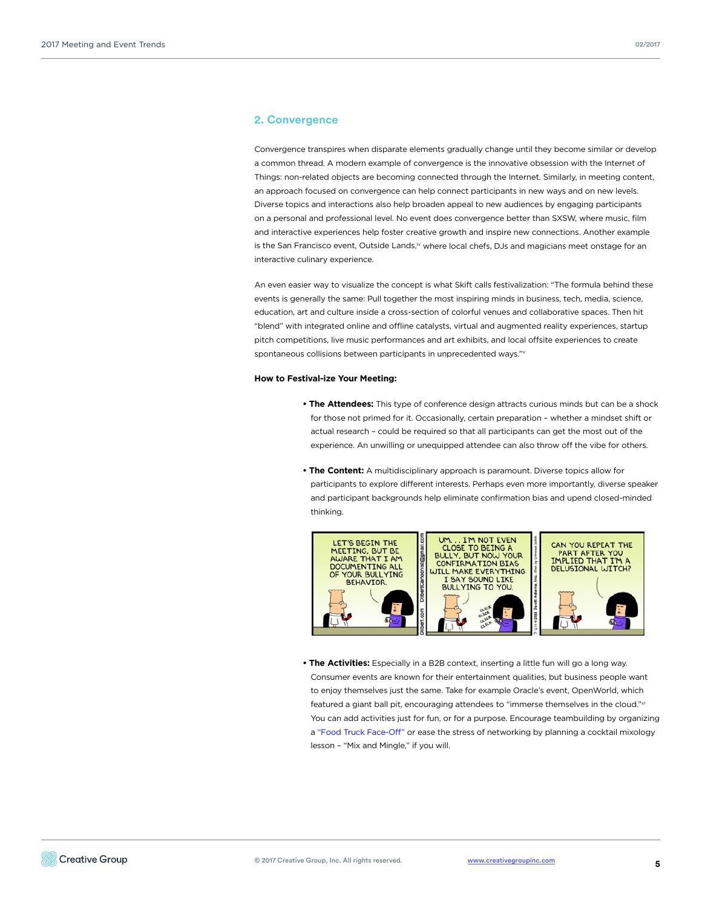### **2. Convergence**

Convergence transpires when disparate elements gradually change until they become similar or develop a common thread. A modern example of convergence is the innovative obsession with the Internet of Things: non-related objects are becoming connected through the Internet. Similarly, in meeting content, an approach focused on convergence can help connect participants in new ways and on new levels. Diverse topics and interactions also help broaden appeal to new audiences by engaging participants on a personal and professional level. No event does convergence better than SXSW, where music, film and interactive experiences help foster creative growth and inspire new connections. Another example is the San Francisco event, Outside Lands,<sup>iv</sup> where local chefs, DJs and magicians meet onstage for an interactive culinary experience.

An even easier way to visualize the concept is what Skift calls festivalization: "The formula behind these events is generally the same: Pull together the most inspiring minds in business, tech, media, science, education, art and culture inside a cross-section of colorful venues and collaborative spaces. Then hit "blend" with integrated online and offline catalysts, virtual and augmented reality experiences, startup pitch competitions, live music performances and art exhibits, and local offsite experiences to create spontaneous collisions between participants in unprecedented ways."v

#### **How to Festival-ize Your Meeting:**

- **The Attendees:** This type of conference design attracts curious minds but can be a shock for those not primed for it. Occasionally, certain preparation – whether a mindset shift or actual research – could be required so that all participants can get the most out of the experience. An unwilling or unequipped attendee can also throw off the vibe for others.
- **The Content:** A multidisciplinary approach is paramount. Diverse topics allow for participants to explore different interests. Perhaps even more importantly, diverse speaker and participant backgrounds help eliminate confirmation bias and upend closed-minded thinking.



**• The Activities:** Especially in a B2B context, inserting a little fun will go a long way. Consumer events are known for their entertainment qualities, but business people want to enjoy themselves just the same. Take for example Oracle's event, OpenWorld, which featured a giant ball pit, encouraging attendees to "immerse themselves in the cloud."vi You can add activities just for fun, or for a purpose. Encourage teambuilding by organizing [a "Food Truck Face-Off" o](http://www2.creativegroupinc.com/resources/list/creating-un-conference/)r ease the stress of networking by planning a cocktail mixology lesson – "Mix and Mingle," if you will.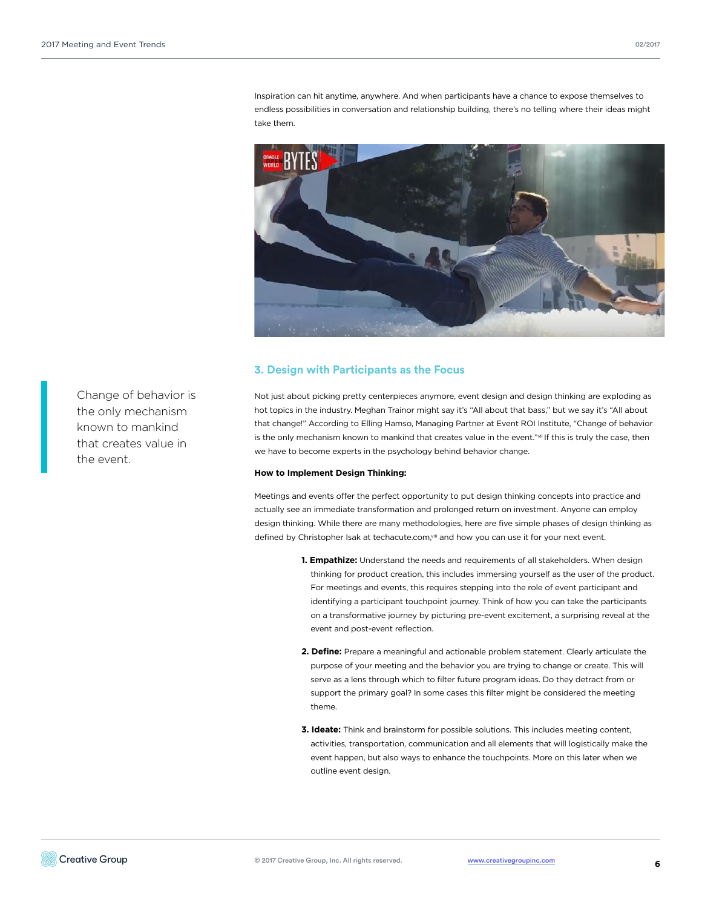Inspiration can hit anytime, anywhere. And when participants have a chance to expose themselves to endless possibilities in conversation and relationship building, there's no telling where their ideas might take them.



## **3. Design with Participants as the Focus**

Not just about picking pretty centerpieces anymore, event design and design thinking are exploding as hot topics in the industry. Meghan Trainor might say it's "All about that bass," but we say it's "All about that change!" According to Elling Hamso, Managing Partner at Event ROI Institute, "Change of behavior is the only mechanism known to mankind that creates value in the event."vii If this is truly the case, then we have to become experts in the psychology behind behavior change.

#### **How to Implement Design Thinking:**

Meetings and events offer the perfect opportunity to put design thinking concepts into practice and actually see an immediate transformation and prolonged return on investment. Anyone can employ design thinking. While there are many methodologies, here are five simple phases of design thinking as defined by Christopher Isak at techacute.com, vili and how you can use it for your next event.

- **1. Empathize:** Understand the needs and requirements of all stakeholders. When design thinking for product creation, this includes immersing yourself as the user of the product. For meetings and events, this requires stepping into the role of event participant and identifying a participant touchpoint journey. Think of how you can take the participants on a transformative journey by picturing pre-event excitement, a surprising reveal at the event and post-event reflection.
- **2. Define:** Prepare a meaningful and actionable problem statement. Clearly articulate the purpose of your meeting and the behavior you are trying to change or create. This will serve as a lens through which to filter future program ideas. Do they detract from or support the primary goal? In some cases this filter might be considered the meeting theme.
- **3. Ideate:** Think and brainstorm for possible solutions. This includes meeting content, activities, transportation, communication and all elements that will logistically make the event happen, but also ways to enhance the touchpoints. More on this later when we outline event design.

Change of behavior is the only mechanism known to mankind that creates value in the event.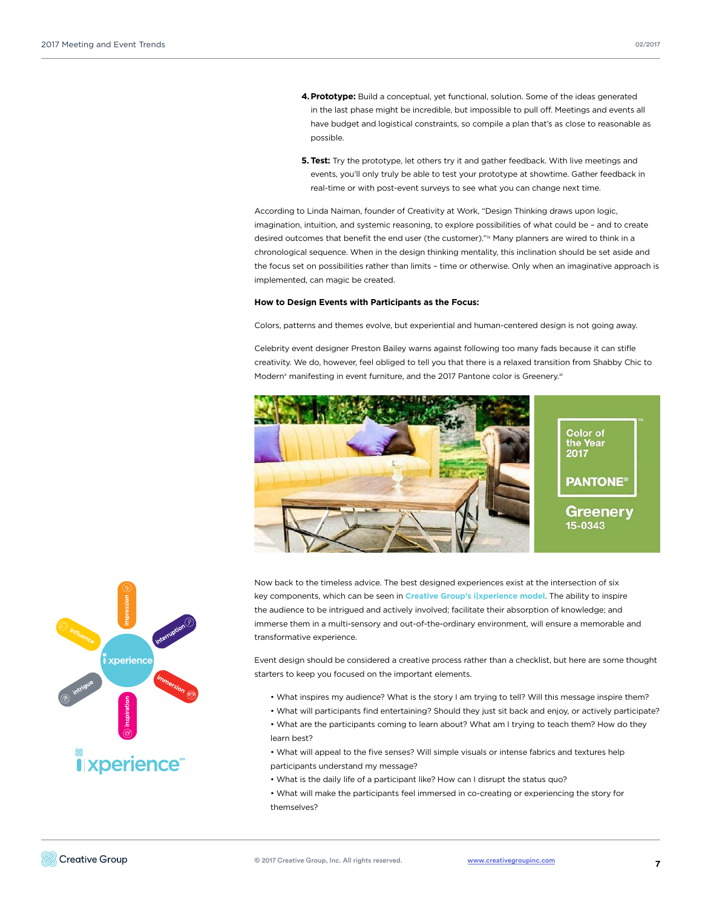- **4.Prototype:** Build a conceptual, yet functional, solution. Some of the ideas generated in the last phase might be incredible, but impossible to pull off. Meetings and events all have budget and logistical constraints, so compile a plan that's as close to reasonable as possible.
- **5. Test:** Try the prototype, let others try it and gather feedback. With live meetings and events, you'll only truly be able to test your prototype at showtime. Gather feedback in real-time or with post-event surveys to see what you can change next time.

According to Linda Naiman, founder of Creativity at Work, "Design Thinking draws upon logic, imagination, intuition, and systemic reasoning, to explore possibilities of what could be – and to create desired outcomes that benefit the end user (the customer)."ix Many planners are wired to think in a chronological sequence. When in the design thinking mentality, this inclination should be set aside and the focus set on possibilities rather than limits – time or otherwise. Only when an imaginative approach is implemented, can magic be created.

#### **How to Design Events with Participants as the Focus:**

Colors, patterns and themes evolve, but experiential and human-centered design is not going away.

Celebrity event designer Preston Bailey warns against following too many fads because it can stifle creativity. We do, however, feel obliged to tell you that there is a relaxed transition from Shabby Chic to Modern<sup>x</sup> manifesting in event furniture, and the 2017 Pantone color is Greenery.<sup>xi</sup>



Now back to the timeless advice. The best designed experiences exist at the intersection of six key components, which can be seen in **[Creative Group's i|xperience model](http://www2.creativegroupinc.com/resources/list/creating-ultimate-experience/)**. The ability to inspire the audience to be intrigued and actively involved; facilitate their absorption of knowledge; and immerse them in a multi-sensory and out-of-the-ordinary environment, will ensure a memorable and transformative experience.

Event design should be considered a creative process rather than a checklist, but here are some thought starters to keep you focused on the important elements.

- What inspires my audience? What is the story I am trying to tell? Will this message inspire them?
- What will participants find entertaining? Should they just sit back and enjoy, or actively participate?
- What are the participants coming to learn about? What am I trying to teach them? How do they learn best?
- What will appeal to the five senses? Will simple visuals or intense fabrics and textures help participants understand my message?
- What is the daily life of a participant like? How can I disrupt the status quo?
- What will make the participants feel immersed in co-creating or experiencing the story for themselves?

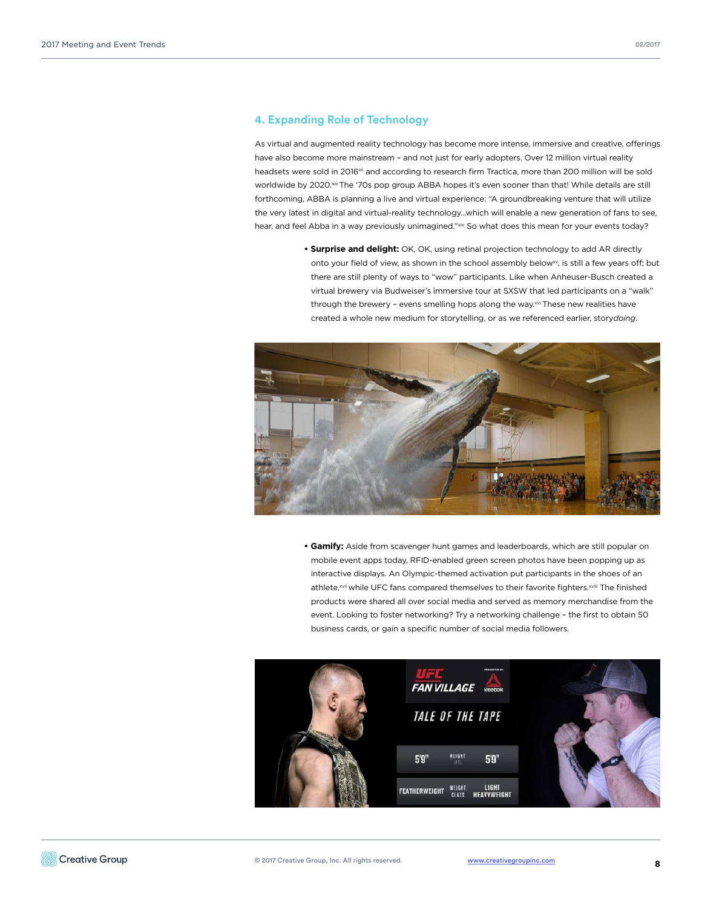### **4. Expanding Role of Technology**

As virtual and augmented reality technology has become more intense, immersive and creative, offerings have also become more mainstream - and not just for early adopters. Over 12 million virtual reality headsets were sold in 2016<sup>xii</sup> and according to research firm Tractica, more than 200 million will be sold worldwide by 2020.<sup>xiii</sup> The '70s pop group ABBA hopes it's even sooner than that! While details are still forthcoming, ABBA is planning a live and virtual experience: "A groundbreaking venture that will utilize the very latest in digital and virtual-reality technology…which will enable a new generation of fans to see, hear, and feel Abba in a way previously unimagined."xiv So what does this mean for your events today?

> **• Surprise and delight:** OK, OK, using retinal projection technology to add AR directly onto your field of view, as shown in the school assembly below<sup>xv</sup>, is still a few years off; but there are still plenty of ways to "wow" participants. Like when Anheuser-Busch created a virtual brewery via Budweiser's immersive tour at SXSW that led participants on a "walk" through the brewery - evens smelling hops along the way.xvi These new realities have created a whole new medium for storytelling, or as we referenced earlier, story*doing*.



**• Gamify:** Aside from scavenger hunt games and leaderboards, which are still popular on mobile event apps today, RFID-enabled green screen photos have been popping up as interactive displays. An Olympic-themed activation put participants in the shoes of an athlete,<sup>xvii</sup> while UFC fans compared themselves to their favorite fighters.<sup>xviii</sup> The finished products were shared all over social media and served as memory merchandise from the event. Looking to foster networking? Try a networking challenge – the first to obtain 50 business cards, or gain a specific number of social media followers.

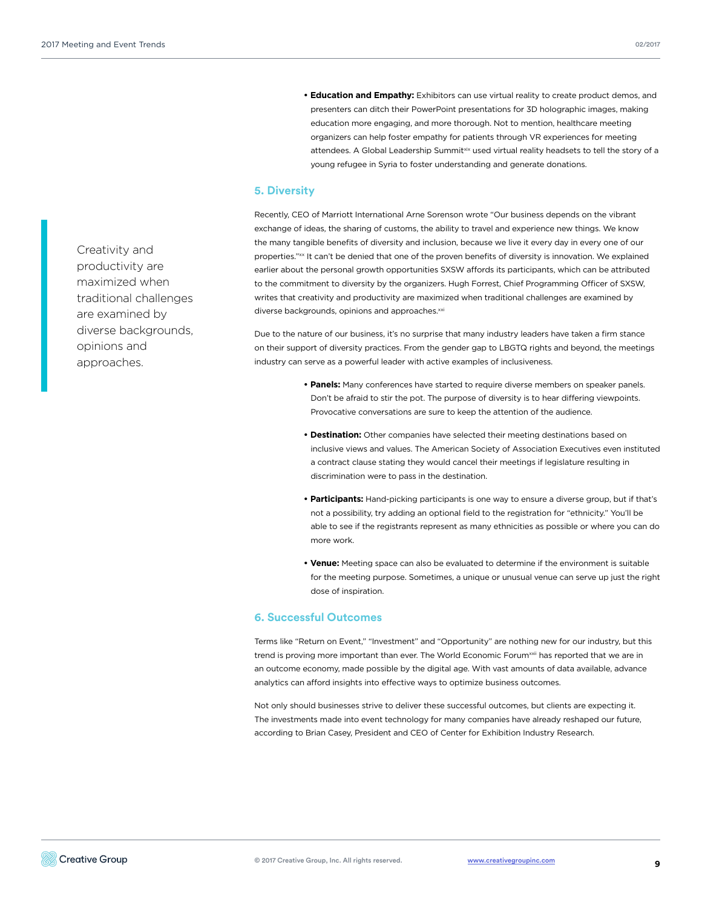**• Education and Empathy:** Exhibitors can use virtual reality to create product demos, and presenters can ditch their PowerPoint presentations for 3D holographic images, making education more engaging, and more thorough. Not to mention, healthcare meeting organizers can help foster empathy for patients through VR experiences for meeting attendees. A Global Leadership Summitxix used virtual reality headsets to tell the story of a young refugee in Syria to foster understanding and generate donations.

### **5. Diversity**

Recently, CEO of Marriott International Arne Sorenson wrote "Our business depends on the vibrant exchange of ideas, the sharing of customs, the ability to travel and experience new things. We know the many tangible benefits of diversity and inclusion, because we live it every day in every one of our properties."xx It can't be denied that one of the proven benefits of diversity is innovation. We explained earlier about the personal growth opportunities SXSW affords its participants, which can be attributed to the commitment to diversity by the organizers. Hugh Forrest, Chief Programming Officer of SXSW, writes that creativity and productivity are maximized when traditional challenges are examined by diverse backgrounds, opinions and approaches.<sup>xxi</sup>

Due to the nature of our business, it's no surprise that many industry leaders have taken a firm stance on their support of diversity practices. From the gender gap to LBGTQ rights and beyond, the meetings industry can serve as a powerful leader with active examples of inclusiveness.

- **Panels:** Many conferences have started to require diverse members on speaker panels. Don't be afraid to stir the pot. The purpose of diversity is to hear differing viewpoints. Provocative conversations are sure to keep the attention of the audience.
- **Destination:** Other companies have selected their meeting destinations based on inclusive views and values. The American Society of Association Executives even instituted a contract clause stating they would cancel their meetings if legislature resulting in discrimination were to pass in the destination.
- **Participants:** Hand-picking participants is one way to ensure a diverse group, but if that's not a possibility, try adding an optional field to the registration for "ethnicity." You'll be able to see if the registrants represent as many ethnicities as possible or where you can do more work.
- **Venue:** Meeting space can also be evaluated to determine if the environment is suitable for the meeting purpose. Sometimes, a unique or unusual venue can serve up just the right dose of inspiration.

## **6. Successful Outcomes**

Terms like "Return on Event," "Investment" and "Opportunity" are nothing new for our industry, but this trend is proving more important than ever. The World Economic Forum<sup>xxii</sup> has reported that we are in an outcome economy, made possible by the digital age. With vast amounts of data available, advance analytics can afford insights into effective ways to optimize business outcomes.

Not only should businesses strive to deliver these successful outcomes, but clients are expecting it. The investments made into event technology for many companies have already reshaped our future, according to Brian Casey, President and CEO of Center for Exhibition Industry Research.

Creativity and productivity are maximized when traditional challenges are examined by diverse backgrounds, opinions and approaches.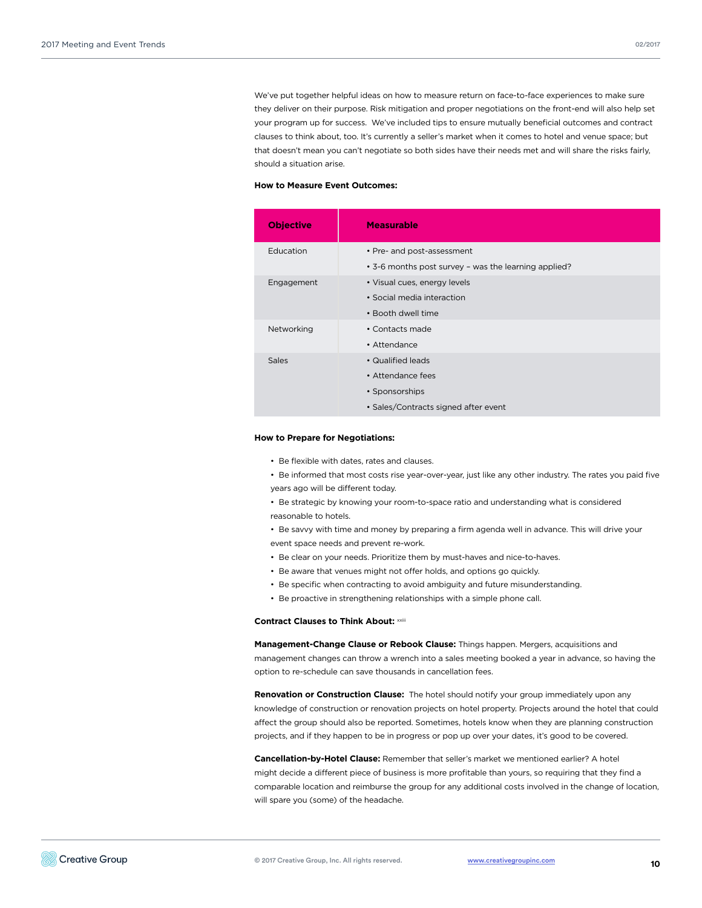We've put together helpful ideas on how to measure return on face-to-face experiences to make sure they deliver on their purpose. Risk mitigation and proper negotiations on the front-end will also help set your program up for success. We've included tips to ensure mutually beneficial outcomes and contract clauses to think about, too. It's currently a seller's market when it comes to hotel and venue space; but that doesn't mean you can't negotiate so both sides have their needs met and will share the risks fairly, should a situation arise.

#### **How to Measure Event Outcomes:**

| <b>Objective</b> | <b>Measurable</b>                                                                    |
|------------------|--------------------------------------------------------------------------------------|
| Education        | • Pre- and post-assessment                                                           |
| Engagement       | • 3-6 months post survey - was the learning applied?<br>• Visual cues, energy levels |
|                  | • Social media interaction<br>• Booth dwell time                                     |
| Networking       | • Contacts made<br>• Attendance                                                      |
| <b>Sales</b>     | • Qualified leads                                                                    |
|                  | • Attendance fees<br>• Sponsorships                                                  |
|                  | • Sales/Contracts signed after event                                                 |

#### **How to Prepare for Negotiations:**

- Be flexible with dates, rates and clauses.
- Be informed that most costs rise year-over-year, just like any other industry. The rates you paid five years ago will be different today.
- Be strategic by knowing your room-to-space ratio and understanding what is considered reasonable to hotels.
- Be savvy with time and money by preparing a firm agenda well in advance. This will drive your event space needs and prevent re-work.
- Be clear on your needs. Prioritize them by must-haves and nice-to-haves.
- Be aware that venues might not offer holds, and options go quickly.
- Be specific when contracting to avoid ambiguity and future misunderstanding.
- Be proactive in strengthening relationships with a simple phone call.

**Contract Clauses to Think About: XXIII** 

**Management-Change Clause or Rebook Clause:** Things happen. Mergers, acquisitions and management changes can throw a wrench into a sales meeting booked a year in advance, so having the option to re-schedule can save thousands in cancellation fees.

**Renovation or Construction Clause:** The hotel should notify your group immediately upon any knowledge of construction or renovation projects on hotel property. Projects around the hotel that could affect the group should also be reported. Sometimes, hotels know when they are planning construction projects, and if they happen to be in progress or pop up over your dates, it's good to be covered.

**Cancellation-by-Hotel Clause:** Remember that seller's market we mentioned earlier? A hotel might decide a different piece of business is more profitable than yours, so requiring that they find a comparable location and reimburse the group for any additional costs involved in the change of location, will spare you (some) of the headache.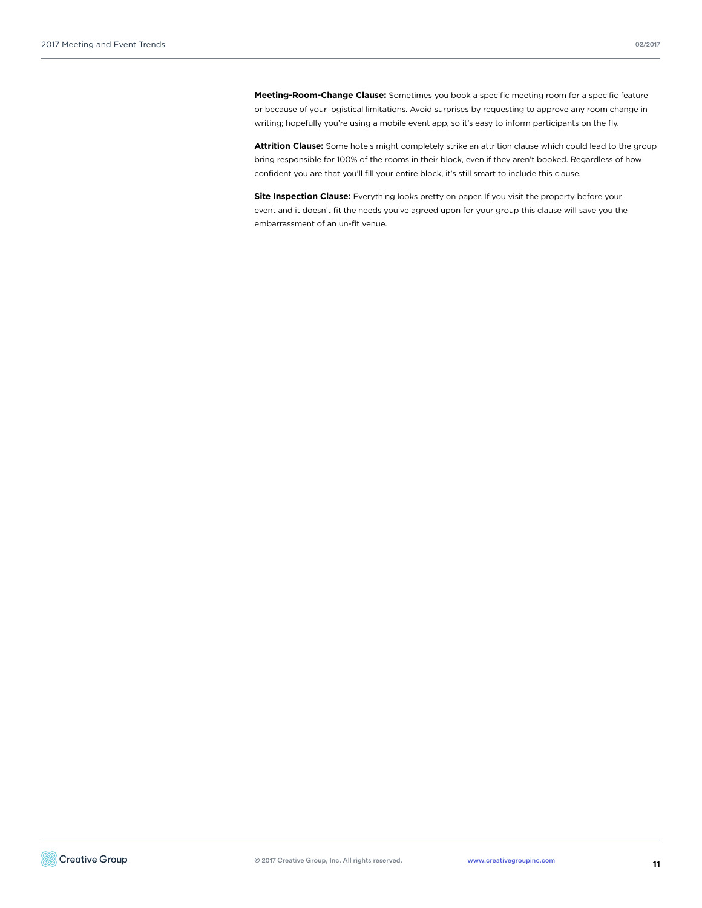**Meeting-Room-Change Clause:** Sometimes you book a specific meeting room for a specific feature or because of your logistical limitations. Avoid surprises by requesting to approve any room change in writing; hopefully you're using a mobile event app, so it's easy to inform participants on the fly.

**Attrition Clause:** Some hotels might completely strike an attrition clause which could lead to the group bring responsible for 100% of the rooms in their block, even if they aren't booked. Regardless of how confident you are that you'll fill your entire block, it's still smart to include this clause.

**Site Inspection Clause:** Everything looks pretty on paper. If you visit the property before your event and it doesn't fit the needs you've agreed upon for your group this clause will save you the embarrassment of an un-fit venue.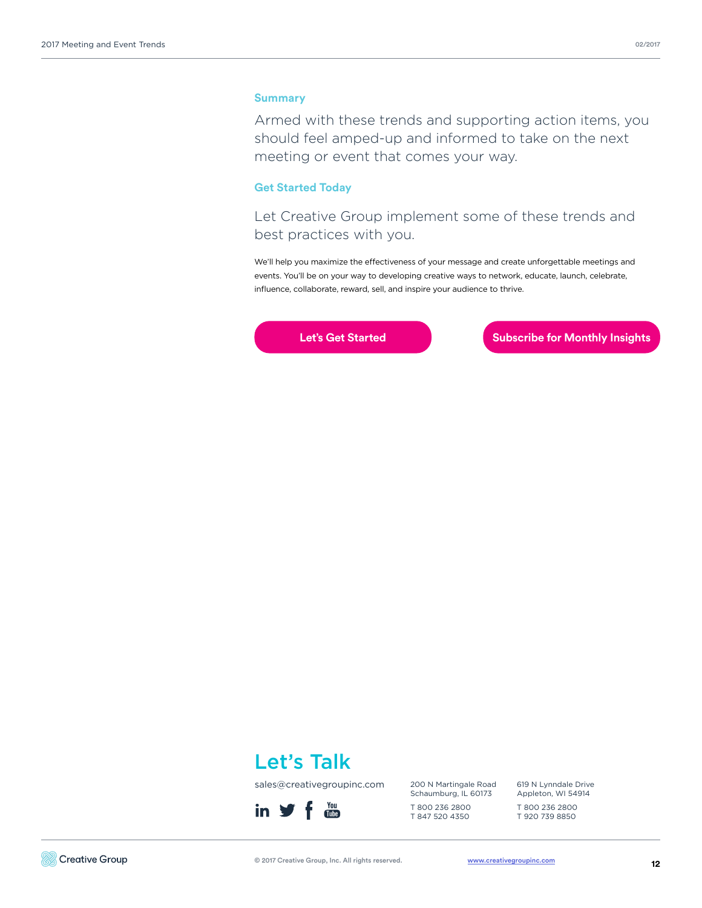## **Summary**

Armed with these trends and supporting action items, you should feel amped-up and informed to take on the next meeting or event that comes your way.

## **Get Started Today**

Let Creative Group implement some of these trends and best practices with you.

We'll help you maximize the effectiveness of your message and create unforgettable meetings and events. You'll be on your way to developing creative ways to network, educate, launch, celebrate, influence, collaborate, reward, sell, and inspire your audience to thrive.

**[Let's Get Started](http://www2.creativegroupinc.com/contact/) Communisty Communisty Communisty Communisty Communisty Communisty Communisty Communisty Communisty Communisty Communisty Communisty Communisty Communisty Communisty Communisty Communisty Communisty Commu** 



sales@creativegroupinc.com



200 N Martingale Road Schaumburg, IL 60173 T 800 236 2800

T 847 520 4350

619 N Lynndale Drive Appleton, WI 54914 T 800 236 2800

T 920 739 8850

© 2017 Creative Group, Inc. All rights reserved.

[www.creativegroupinc.com](http://www.creativegroupinc.com)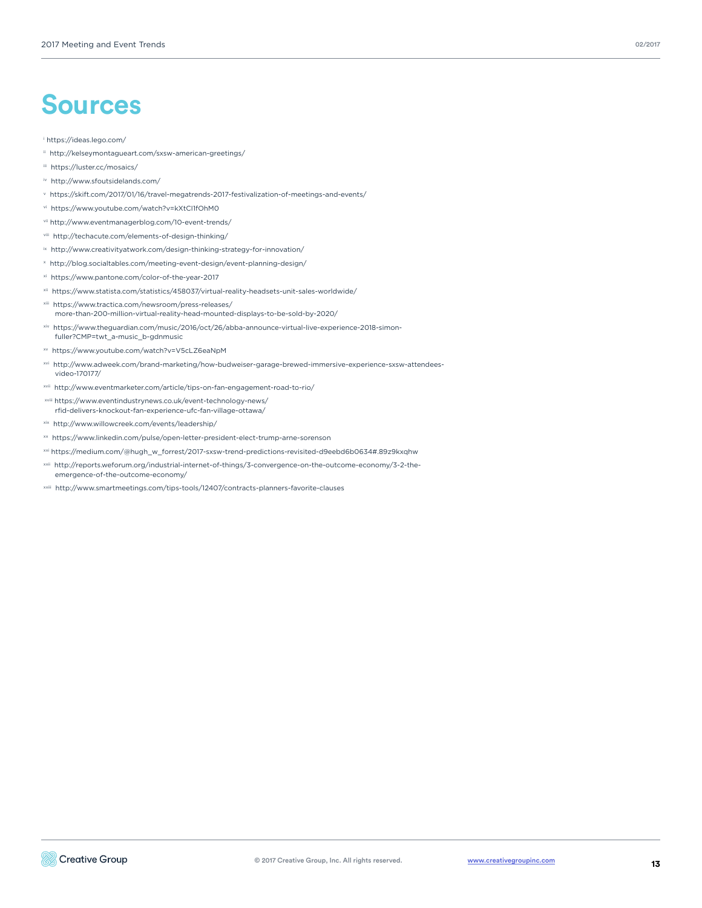## **Sources**

#### i https://ideas.lego.com/

- ii http://kelseymontagueart.com/sxsw-american-greetings/
- iii https://luster.cc/mosaics/
- iv http://www.sfoutsidelands.com/
- v https://skift.com/2017/01/16/travel-megatrends-2017-festivalization-of-meetings-and-events/
- vi https://www.youtube.com/watch?v=kXtCI1fOhM0
- vii http://www.eventmanagerblog.com/10-event-trends/
- viii http://techacute.com/elements-of-design-thinking/
- ix http://www.creativityatwork.com/design-thinking-strategy-for-innovation/
- x http://blog.socialtables.com/meeting-event-design/event-planning-design/
- xi https://www.pantone.com/color-of-the-year-2017
- xii https://www.statista.com/statistics/458037/virtual-reality-headsets-unit-sales-worldwide/
- xiii https://www.tractica.com/newsroom/press-releases/ more-than-200-million-virtual-reality-head-mounted-displays-to-be-sold-by-2020/
- https://www.theguardian.com/music/2016/oct/26/abba-announce-virtual-live-experience-2018-simonfuller?CMP=twt\_a-music\_b-gdnmusic
- xv https://www.youtube.com/watch?v=V5cLZ6eaNpM
- xvi http://www.adweek.com/brand-marketing/how-budweiser-garage-brewed-immersive-experience-sxsw-attendeesvideo-170177/
- xvii http://www.eventmarketer.com/article/tips-on-fan-engagement-road-to-rio/
- xviii https://www.eventindustrynews.co.uk/event-technology-news/ rfid-delivers-knockout-fan-experience-ufc-fan-village-ottawa/
- xix http://www.willowcreek.com/events/leadership/
- xx https://www.linkedin.com/pulse/open-letter-president-elect-trump-arne-sorenson
- xxi https://medium.com/@hugh\_w\_forrest/2017-sxsw-trend-predictions-revisited-d9eebd6b0634#.89z9kxqhw
- xxii http://reports.weforum.org/industrial-internet-of-things/3-convergence-on-the-outcome-economy/3-2-theemergence-of-the-outcome-economy/
- xxiii http://www.smartmeetings.com/tips-tools/12407/contracts-planners-favorite-clauses